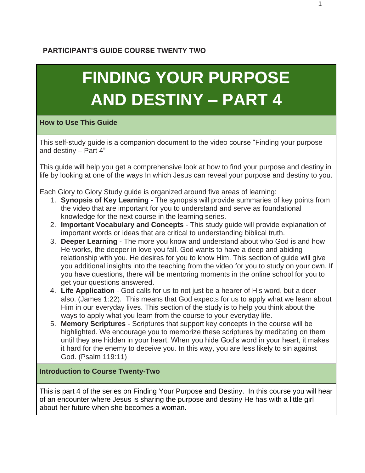## **PARTICIPANT'S GUIDE COURSE TWENTY TWO**

## **FINDING YOUR PURPOSE AND DESTINY – PART 4**

## **How to Use This Guide**

This self-study guide is a companion document to the video course "Finding your purpose and destiny – Part 4"

This guide will help you get a comprehensive look at how to find your purpose and destiny in life by looking at one of the ways In which Jesus can reveal your purpose and destiny to you.

Each Glory to Glory Study guide is organized around five areas of learning:

- 1. **Synopsis of Key Learning -** The synopsis will provide summaries of key points from the video that are important for you to understand and serve as foundational knowledge for the next course in the learning series.
- 2. **Important Vocabulary and Concepts**  This study guide will provide explanation of important words or ideas that are critical to understanding biblical truth.
- 3. **Deeper Learning** The more you know and understand about who God is and how He works, the deeper in love you fall. God wants to have a deep and abiding relationship with you. He desires for you to know Him. This section of guide will give you additional insights into the teaching from the video for you to study on your own. If you have questions, there will be mentoring moments in the online school for you to get your questions answered.
- 4. **Life Application**  God calls for us to not just be a hearer of His word, but a doer also. (James 1:22). This means that God expects for us to apply what we learn about Him in our everyday lives. This section of the study is to help you think about the ways to apply what you learn from the course to your everyday life.
- 5. **Memory Scriptures** Scriptures that support key concepts in the course will be highlighted. We encourage you to memorize these scriptures by meditating on them until they are hidden in your heart. When you hide God's word in your heart, it makes it hard for the enemy to deceive you. In this way, you are less likely to sin against God. (Psalm 119:11)

## **Introduction to Course Twenty-Two**

This is part 4 of the series on Finding Your Purpose and Destiny. In this course you will hear of an encounter where Jesus is sharing the purpose and destiny He has with a little girl about her future when she becomes a woman.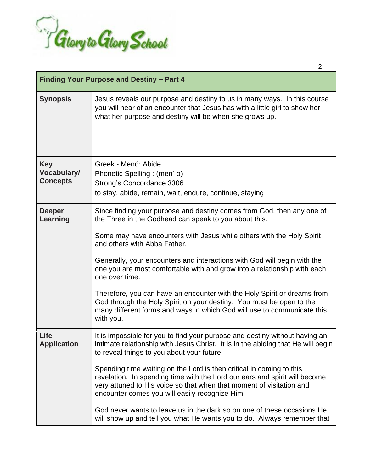

| Finding Your Purpose and Destiny - Part 4    |                                                                                                                                                                                                                                                                                                                                                                                                                                                                                                                                                                                                                                                                |
|----------------------------------------------|----------------------------------------------------------------------------------------------------------------------------------------------------------------------------------------------------------------------------------------------------------------------------------------------------------------------------------------------------------------------------------------------------------------------------------------------------------------------------------------------------------------------------------------------------------------------------------------------------------------------------------------------------------------|
| <b>Synopsis</b>                              | Jesus reveals our purpose and destiny to us in many ways. In this course<br>you will hear of an encounter that Jesus has with a little girl to show her<br>what her purpose and destiny will be when she grows up.                                                                                                                                                                                                                                                                                                                                                                                                                                             |
| <b>Key</b><br>Vocabulary/<br><b>Concepts</b> | Greek - Menó: Abide<br>Phonetic Spelling : (men'-o)<br>Strong's Concordance 3306<br>to stay, abide, remain, wait, endure, continue, staying                                                                                                                                                                                                                                                                                                                                                                                                                                                                                                                    |
| <b>Deeper</b><br>Learning                    | Since finding your purpose and destiny comes from God, then any one of<br>the Three in the Godhead can speak to you about this.<br>Some may have encounters with Jesus while others with the Holy Spirit<br>and others with Abba Father.<br>Generally, your encounters and interactions with God will begin with the<br>one you are most comfortable with and grow into a relationship with each<br>one over time.<br>Therefore, you can have an encounter with the Holy Spirit or dreams from<br>God through the Holy Spirit on your destiny. You must be open to the<br>many different forms and ways in which God will use to communicate this<br>with you. |
| Life<br><b>Application</b>                   | It is impossible for you to find your purpose and destiny without having an<br>intimate relationship with Jesus Christ. It is in the abiding that He will begin<br>to reveal things to you about your future.<br>Spending time waiting on the Lord is then critical in coming to this<br>revelation. In spending time with the Lord our ears and spirit will become<br>very attuned to His voice so that when that moment of visitation and<br>encounter comes you will easily recognize Him.<br>God never wants to leave us in the dark so on one of these occasions He<br>will show up and tell you what He wants you to do. Always remember that            |

2